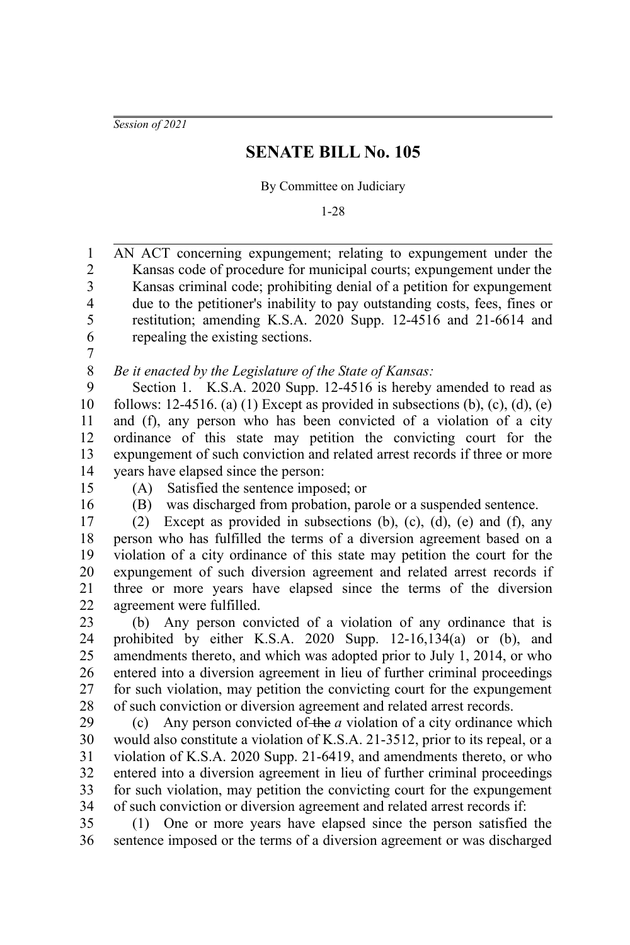*Session of 2021*

## **SENATE BILL No. 105**

By Committee on Judiciary

1-28

AN ACT concerning expungement; relating to expungement under the Kansas code of procedure for municipal courts; expungement under the Kansas criminal code; prohibiting denial of a petition for expungement due to the petitioner's inability to pay outstanding costs, fees, fines or restitution; amending K.S.A. 2020 Supp. 12-4516 and 21-6614 and repealing the existing sections. 1 2 3 4 5 6

7

*Be it enacted by the Legislature of the State of Kansas:* 8

Section 1. K.S.A. 2020 Supp. 12-4516 is hereby amended to read as follows: 12-4516. (a) (1) Except as provided in subsections (b), (c), (d), (e) and (f), any person who has been convicted of a violation of a city ordinance of this state may petition the convicting court for the expungement of such conviction and related arrest records if three or more years have elapsed since the person: 9 10 11 12 13 14

- 15
- 16

(A) Satisfied the sentence imposed; or

(B) was discharged from probation, parole or a suspended sentence.

(2) Except as provided in subsections (b), (c), (d), (e) and (f), any person who has fulfilled the terms of a diversion agreement based on a violation of a city ordinance of this state may petition the court for the expungement of such diversion agreement and related arrest records if three or more years have elapsed since the terms of the diversion agreement were fulfilled. 17 18 19 20 21 22

(b) Any person convicted of a violation of any ordinance that is prohibited by either K.S.A. 2020 Supp. 12-16,134(a) or (b), and amendments thereto, and which was adopted prior to July 1, 2014, or who entered into a diversion agreement in lieu of further criminal proceedings for such violation, may petition the convicting court for the expungement of such conviction or diversion agreement and related arrest records. 23 24 25 26 27 28

(c) Any person convicted of the *a* violation of a city ordinance which would also constitute a violation of K.S.A. 21-3512, prior to its repeal, or a violation of K.S.A. 2020 Supp. 21-6419, and amendments thereto, or who entered into a diversion agreement in lieu of further criminal proceedings for such violation, may petition the convicting court for the expungement of such conviction or diversion agreement and related arrest records if: 29 30 31 32 33 34

(1) One or more years have elapsed since the person satisfied the sentence imposed or the terms of a diversion agreement or was discharged 35 36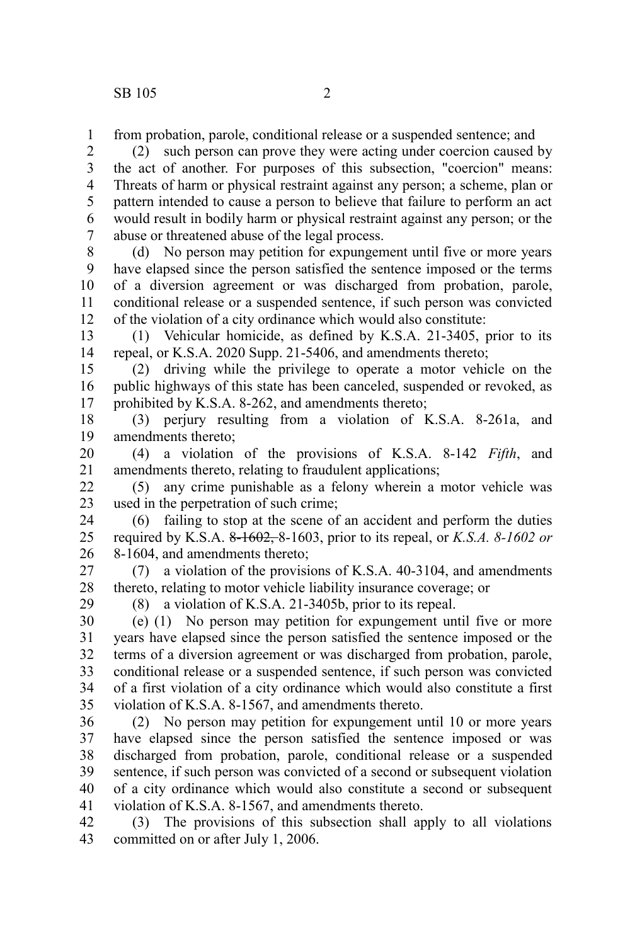from probation, parole, conditional release or a suspended sentence; and 1

(2) such person can prove they were acting under coercion caused by the act of another. For purposes of this subsection, "coercion" means: Threats of harm or physical restraint against any person; a scheme, plan or pattern intended to cause a person to believe that failure to perform an act would result in bodily harm or physical restraint against any person; or the abuse or threatened abuse of the legal process. 2 3 4 5 6 7

(d) No person may petition for expungement until five or more years have elapsed since the person satisfied the sentence imposed or the terms of a diversion agreement or was discharged from probation, parole, conditional release or a suspended sentence, if such person was convicted of the violation of a city ordinance which would also constitute: 8 9 10 11 12

(1) Vehicular homicide, as defined by K.S.A. 21-3405, prior to its repeal, or K.S.A. 2020 Supp. 21-5406, and amendments thereto; 13 14

(2) driving while the privilege to operate a motor vehicle on the public highways of this state has been canceled, suspended or revoked, as prohibited by K.S.A. 8-262, and amendments thereto; 15 16 17

(3) perjury resulting from a violation of K.S.A. 8-261a, and amendments thereto; 18 19

(4) a violation of the provisions of K.S.A. 8-142 *Fifth*, and amendments thereto, relating to fraudulent applications; 20 21

(5) any crime punishable as a felony wherein a motor vehicle was used in the perpetration of such crime; 22 23

(6) failing to stop at the scene of an accident and perform the duties required by K.S.A. 8-1602, 8-1603, prior to its repeal, or *K.S.A. 8-1602 or* 8-1604, and amendments thereto; 24 25 26

(7) a violation of the provisions of K.S.A. 40-3104, and amendments thereto, relating to motor vehicle liability insurance coverage; or 27 28

29

(8) a violation of K.S.A. 21-3405b, prior to its repeal.

(e) (1) No person may petition for expungement until five or more years have elapsed since the person satisfied the sentence imposed or the terms of a diversion agreement or was discharged from probation, parole, conditional release or a suspended sentence, if such person was convicted of a first violation of a city ordinance which would also constitute a first violation of K.S.A. 8-1567, and amendments thereto. 30 31 32 33 34 35

(2) No person may petition for expungement until 10 or more years have elapsed since the person satisfied the sentence imposed or was discharged from probation, parole, conditional release or a suspended sentence, if such person was convicted of a second or subsequent violation of a city ordinance which would also constitute a second or subsequent violation of K.S.A. 8-1567, and amendments thereto. 36 37 38 39 40 41

(3) The provisions of this subsection shall apply to all violations committed on or after July 1, 2006. 42 43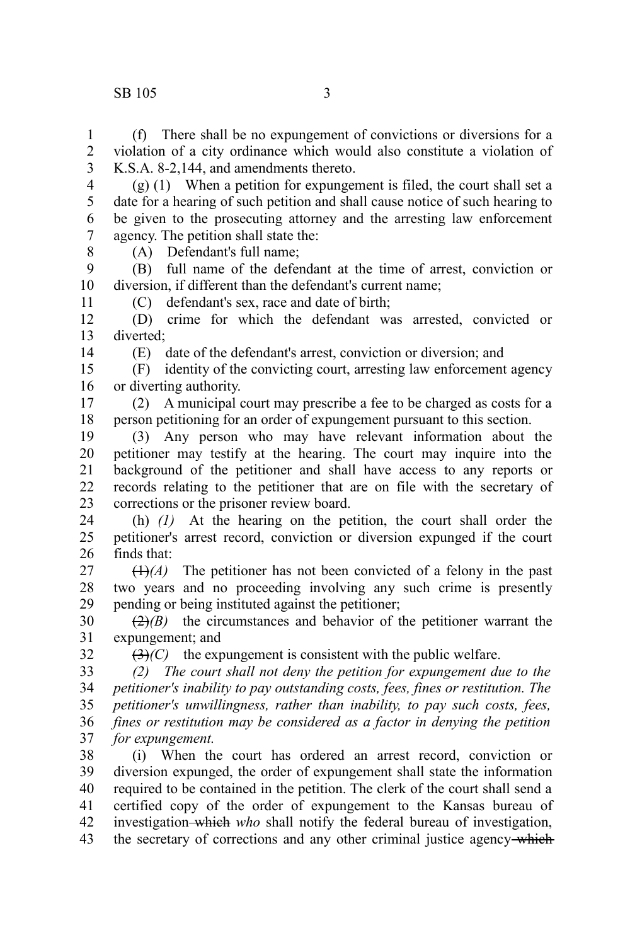## SB 105 3

(f) There shall be no expungement of convictions or diversions for a violation of a city ordinance which would also constitute a violation of K.S.A. 8-2,144, and amendments thereto. 1 2 3

(g) (1) When a petition for expungement is filed, the court shall set a date for a hearing of such petition and shall cause notice of such hearing to be given to the prosecuting attorney and the arresting law enforcement agency. The petition shall state the: 4 5 6 7 8

(A) Defendant's full name;

(B) full name of the defendant at the time of arrest, conviction or diversion, if different than the defendant's current name; 9 10

(C) defendant's sex, race and date of birth;

(D) crime for which the defendant was arrested, convicted or diverted; 12 13

14

32

11

(E) date of the defendant's arrest, conviction or diversion; and

(F) identity of the convicting court, arresting law enforcement agency or diverting authority. 15 16

(2) A municipal court may prescribe a fee to be charged as costs for a person petitioning for an order of expungement pursuant to this section. 17 18

(3) Any person who may have relevant information about the petitioner may testify at the hearing. The court may inquire into the background of the petitioner and shall have access to any reports or records relating to the petitioner that are on file with the secretary of corrections or the prisoner review board. 19 20 21 22 23

(h) *(1)* At the hearing on the petition, the court shall order the petitioner's arrest record, conviction or diversion expunged if the court finds that: 24 25 26

 $(1)$ <sup>(A)</sup>) The petitioner has not been convicted of a felony in the past two years and no proceeding involving any such crime is presently pending or being instituted against the petitioner; 27 28 29

 $\left(\frac{2}{2}\right)$  the circumstances and behavior of the petitioner warrant the expungement; and 30 31

 $(3)$ *(C)* the expungement is consistent with the public welfare.

*(2) The court shall not deny the petition for expungement due to the petitioner's inability to pay outstanding costs, fees, fines or restitution. The petitioner's unwillingness, rather than inability, to pay such costs, fees, fines or restitution may be considered as a factor in denying the petition for expungement.* 33 34 35 36 37

(i) When the court has ordered an arrest record, conviction or diversion expunged, the order of expungement shall state the information required to be contained in the petition. The clerk of the court shall send a certified copy of the order of expungement to the Kansas bureau of investigation which *who* shall notify the federal bureau of investigation, the secretary of corrections and any other criminal justice agency-which 38 39 40 41 42 43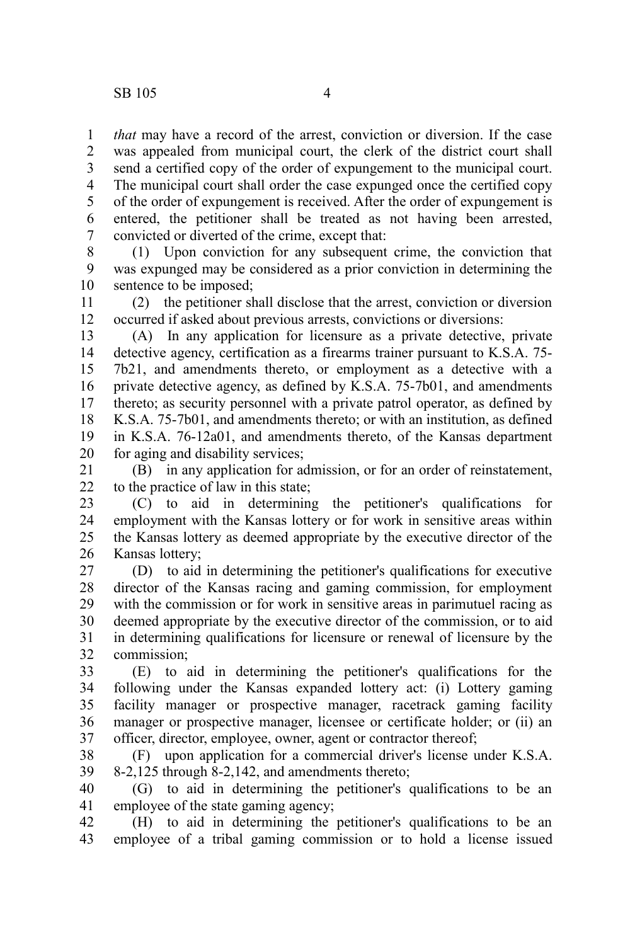*that* may have a record of the arrest, conviction or diversion. If the case was appealed from municipal court, the clerk of the district court shall send a certified copy of the order of expungement to the municipal court. The municipal court shall order the case expunged once the certified copy of the order of expungement is received. After the order of expungement is entered, the petitioner shall be treated as not having been arrested, convicted or diverted of the crime, except that: 1 2 3 4 5 6 7

(1) Upon conviction for any subsequent crime, the conviction that was expunged may be considered as a prior conviction in determining the sentence to be imposed; 8 9 10

(2) the petitioner shall disclose that the arrest, conviction or diversion occurred if asked about previous arrests, convictions or diversions: 11 12

(A) In any application for licensure as a private detective, private detective agency, certification as a firearms trainer pursuant to K.S.A. 75- 7b21, and amendments thereto, or employment as a detective with a private detective agency, as defined by K.S.A. 75-7b01, and amendments thereto; as security personnel with a private patrol operator, as defined by K.S.A. 75-7b01, and amendments thereto; or with an institution, as defined in K.S.A. 76-12a01, and amendments thereto, of the Kansas department for aging and disability services; 13 14 15 16 17 18 19 20

(B) in any application for admission, or for an order of reinstatement, to the practice of law in this state; 21 22

(C) to aid in determining the petitioner's qualifications for employment with the Kansas lottery or for work in sensitive areas within the Kansas lottery as deemed appropriate by the executive director of the Kansas lottery; 23 24 25 26

(D) to aid in determining the petitioner's qualifications for executive director of the Kansas racing and gaming commission, for employment with the commission or for work in sensitive areas in parimutuel racing as deemed appropriate by the executive director of the commission, or to aid in determining qualifications for licensure or renewal of licensure by the commission; 27 28 29 30 31 32

(E) to aid in determining the petitioner's qualifications for the following under the Kansas expanded lottery act: (i) Lottery gaming facility manager or prospective manager, racetrack gaming facility manager or prospective manager, licensee or certificate holder; or (ii) an officer, director, employee, owner, agent or contractor thereof; 33 34 35 36 37

(F) upon application for a commercial driver's license under K.S.A. 8-2,125 through 8-2,142, and amendments thereto; 38 39

(G) to aid in determining the petitioner's qualifications to be an employee of the state gaming agency; 40 41

(H) to aid in determining the petitioner's qualifications to be an employee of a tribal gaming commission or to hold a license issued 42 43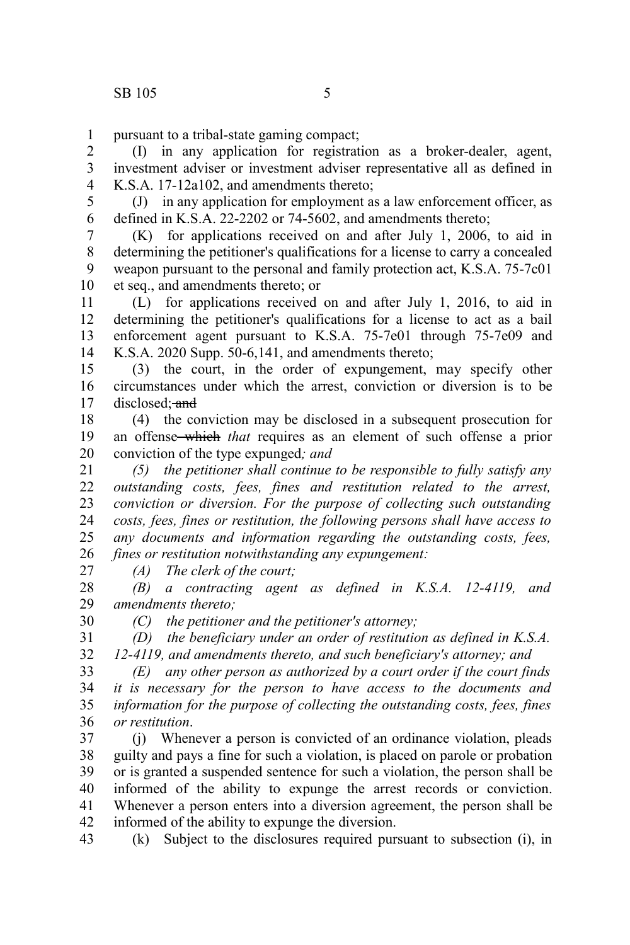pursuant to a tribal-state gaming compact; 1

(I) in any application for registration as a broker-dealer, agent, investment adviser or investment adviser representative all as defined in K.S.A. 17-12a102, and amendments thereto; 2 3 4

(J) in any application for employment as a law enforcement officer, as defined in K.S.A. 22-2202 or 74-5602, and amendments thereto; 5 6

(K) for applications received on and after July 1, 2006, to aid in determining the petitioner's qualifications for a license to carry a concealed weapon pursuant to the personal and family protection act, K.S.A. 75-7c01 et seq., and amendments thereto; or 7 8 9 10

(L) for applications received on and after July 1, 2016, to aid in determining the petitioner's qualifications for a license to act as a bail enforcement agent pursuant to K.S.A. 75-7e01 through 75-7e09 and K.S.A. 2020 Supp. 50-6,141, and amendments thereto; 11 12 13 14

(3) the court, in the order of expungement, may specify other circumstances under which the arrest, conviction or diversion is to be disclosed; and 15 16 17

(4) the conviction may be disclosed in a subsequent prosecution for an offense which *that* requires as an element of such offense a prior conviction of the type expunged*; and* 18 19 20

*(5) the petitioner shall continue to be responsible to fully satisfy any outstanding costs, fees, fines and restitution related to the arrest, conviction or diversion. For the purpose of collecting such outstanding costs, fees, fines or restitution, the following persons shall have access to any documents and information regarding the outstanding costs, fees, fines or restitution notwithstanding any expungement:* 21 22 23 24 25 26

27

30

*(A) The clerk of the court;*

*(B) a contracting agent as defined in K.S.A. 12-4119, and amendments thereto;* 28 29

*(C) the petitioner and the petitioner's attorney;*

*(D) the beneficiary under an order of restitution as defined in K.S.A. 12-4119, and amendments thereto, and such beneficiary's attorney; and* 31 32

*(E) any other person as authorized by a court order if the court finds it is necessary for the person to have access to the documents and information for the purpose of collecting the outstanding costs, fees, fines or restitution*. 33 34 35 36

(j) Whenever a person is convicted of an ordinance violation, pleads guilty and pays a fine for such a violation, is placed on parole or probation or is granted a suspended sentence for such a violation, the person shall be informed of the ability to expunge the arrest records or conviction. Whenever a person enters into a diversion agreement, the person shall be informed of the ability to expunge the diversion. 37 38 39 40 41 42

(k) Subject to the disclosures required pursuant to subsection (i), in 43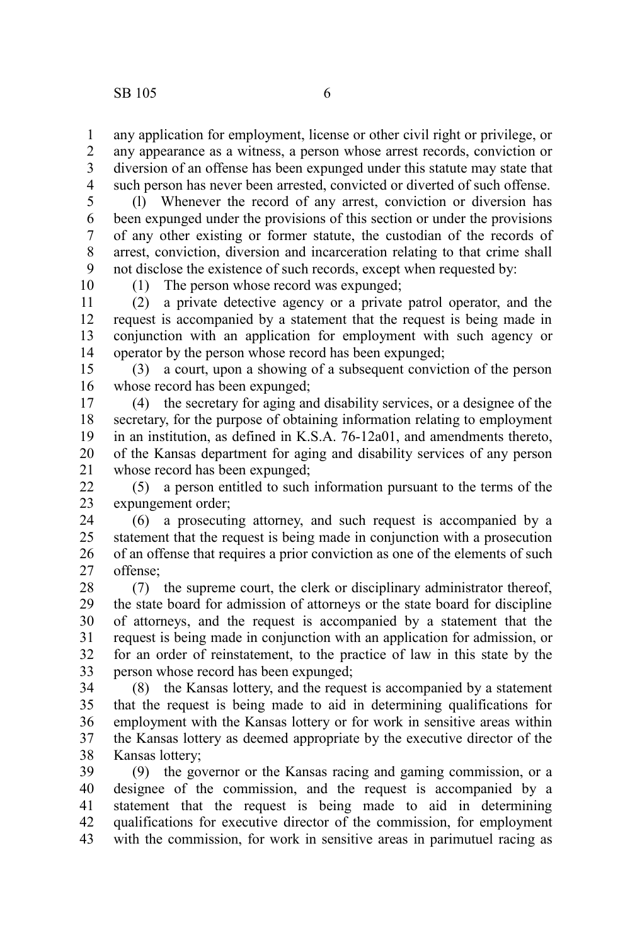any application for employment, license or other civil right or privilege, or any appearance as a witness, a person whose arrest records, conviction or diversion of an offense has been expunged under this statute may state that such person has never been arrested, convicted or diverted of such offense. 1 2 3 4

(l) Whenever the record of any arrest, conviction or diversion has been expunged under the provisions of this section or under the provisions of any other existing or former statute, the custodian of the records of arrest, conviction, diversion and incarceration relating to that crime shall not disclose the existence of such records, except when requested by: 5 6 7 8 9

10

(1) The person whose record was expunged;

(2) a private detective agency or a private patrol operator, and the request is accompanied by a statement that the request is being made in conjunction with an application for employment with such agency or operator by the person whose record has been expunged; 11 12 13 14

(3) a court, upon a showing of a subsequent conviction of the person whose record has been expunged; 15 16

(4) the secretary for aging and disability services, or a designee of the secretary, for the purpose of obtaining information relating to employment in an institution, as defined in K.S.A. 76-12a01, and amendments thereto, of the Kansas department for aging and disability services of any person whose record has been expunged; 17 18 19 20 21

(5) a person entitled to such information pursuant to the terms of the expungement order;  $22$ 23

(6) a prosecuting attorney, and such request is accompanied by a statement that the request is being made in conjunction with a prosecution of an offense that requires a prior conviction as one of the elements of such offense; 24 25 26 27

(7) the supreme court, the clerk or disciplinary administrator thereof, the state board for admission of attorneys or the state board for discipline of attorneys, and the request is accompanied by a statement that the request is being made in conjunction with an application for admission, or for an order of reinstatement, to the practice of law in this state by the person whose record has been expunged; 28 29 30 31 32 33

(8) the Kansas lottery, and the request is accompanied by a statement that the request is being made to aid in determining qualifications for employment with the Kansas lottery or for work in sensitive areas within the Kansas lottery as deemed appropriate by the executive director of the Kansas lottery; 34 35 36 37 38

(9) the governor or the Kansas racing and gaming commission, or a designee of the commission, and the request is accompanied by a statement that the request is being made to aid in determining qualifications for executive director of the commission, for employment with the commission, for work in sensitive areas in parimutuel racing as 39 40 41 42 43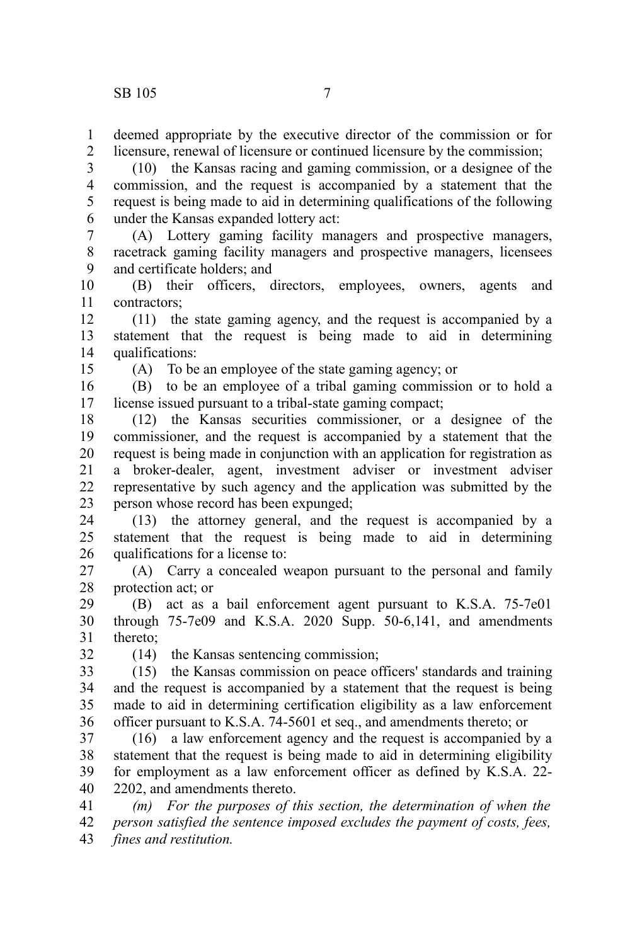deemed appropriate by the executive director of the commission or for licensure, renewal of licensure or continued licensure by the commission; 1 2

(10) the Kansas racing and gaming commission, or a designee of the commission, and the request is accompanied by a statement that the request is being made to aid in determining qualifications of the following under the Kansas expanded lottery act: 3 4 5 6

(A) Lottery gaming facility managers and prospective managers, racetrack gaming facility managers and prospective managers, licensees and certificate holders; and 7 8 9

(B) their officers, directors, employees, owners, agents and contractors; 10 11

(11) the state gaming agency, and the request is accompanied by a statement that the request is being made to aid in determining qualifications: 12 13 14

15

(A) To be an employee of the state gaming agency; or

(B) to be an employee of a tribal gaming commission or to hold a license issued pursuant to a tribal-state gaming compact; 16 17

(12) the Kansas securities commissioner, or a designee of the commissioner, and the request is accompanied by a statement that the request is being made in conjunction with an application for registration as a broker-dealer, agent, investment adviser or investment adviser representative by such agency and the application was submitted by the person whose record has been expunged; 18 19 20 21 22 23

(13) the attorney general, and the request is accompanied by a statement that the request is being made to aid in determining qualifications for a license to: 24 25 26

(A) Carry a concealed weapon pursuant to the personal and family protection act; or 27 28

(B) act as a bail enforcement agent pursuant to K.S.A. 75-7e01 through 75-7e09 and K.S.A. 2020 Supp. 50-6,141, and amendments thereto; 29 30 31

32

(14) the Kansas sentencing commission;

(15) the Kansas commission on peace officers' standards and training and the request is accompanied by a statement that the request is being made to aid in determining certification eligibility as a law enforcement officer pursuant to K.S.A. 74-5601 et seq., and amendments thereto; or 33 34 35 36

(16) a law enforcement agency and the request is accompanied by a statement that the request is being made to aid in determining eligibility for employment as a law enforcement officer as defined by K.S.A. 22- 2202, and amendments thereto. 37 38 39 40

*(m) For the purposes of this section, the determination of when the person satisfied the sentence imposed excludes the payment of costs, fees, fines and restitution.* 41 42 43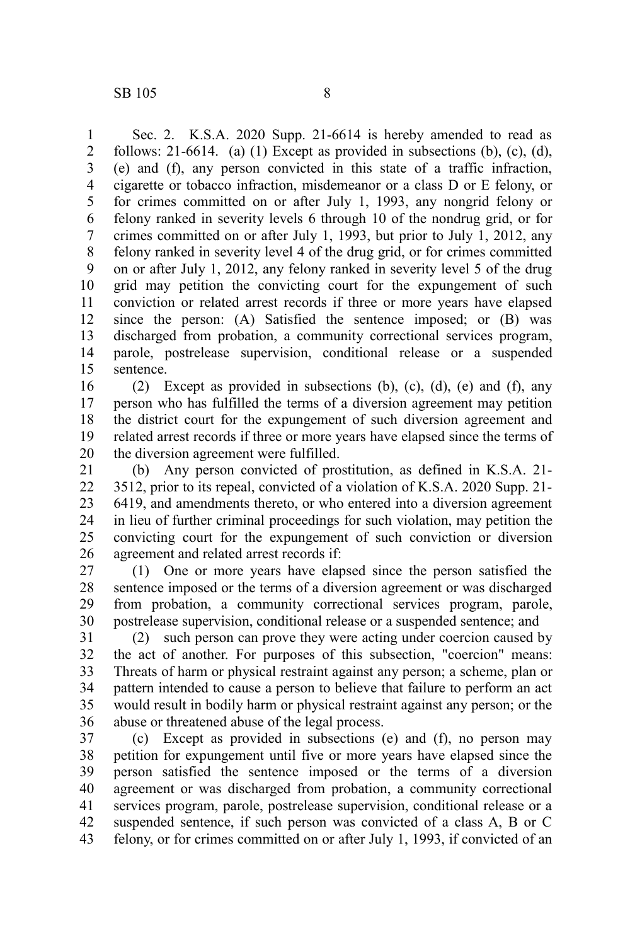Sec. 2. K.S.A. 2020 Supp. 21-6614 is hereby amended to read as follows: 21-6614. (a) (1) Except as provided in subsections (b), (c), (d), (e) and (f), any person convicted in this state of a traffic infraction, cigarette or tobacco infraction, misdemeanor or a class D or E felony, or for crimes committed on or after July 1, 1993, any nongrid felony or felony ranked in severity levels 6 through 10 of the nondrug grid, or for crimes committed on or after July 1, 1993, but prior to July 1, 2012, any felony ranked in severity level 4 of the drug grid, or for crimes committed on or after July 1, 2012, any felony ranked in severity level 5 of the drug grid may petition the convicting court for the expungement of such conviction or related arrest records if three or more years have elapsed since the person: (A) Satisfied the sentence imposed; or (B) was discharged from probation, a community correctional services program, parole, postrelease supervision, conditional release or a suspended sentence. 1 2 3 4 5 6 7 8 9 10 11 12 13 14 15

(2) Except as provided in subsections (b), (c), (d), (e) and (f), any person who has fulfilled the terms of a diversion agreement may petition the district court for the expungement of such diversion agreement and related arrest records if three or more years have elapsed since the terms of the diversion agreement were fulfilled. 16 17 18 19 20

(b) Any person convicted of prostitution, as defined in K.S.A. 21- 3512, prior to its repeal, convicted of a violation of K.S.A. 2020 Supp. 21- 6419, and amendments thereto, or who entered into a diversion agreement in lieu of further criminal proceedings for such violation, may petition the convicting court for the expungement of such conviction or diversion agreement and related arrest records if: 21 22 23 24 25 26

(1) One or more years have elapsed since the person satisfied the sentence imposed or the terms of a diversion agreement or was discharged from probation, a community correctional services program, parole, postrelease supervision, conditional release or a suspended sentence; and 27 28 29 30

(2) such person can prove they were acting under coercion caused by the act of another. For purposes of this subsection, "coercion" means: Threats of harm or physical restraint against any person; a scheme, plan or pattern intended to cause a person to believe that failure to perform an act would result in bodily harm or physical restraint against any person; or the abuse or threatened abuse of the legal process. 31 32 33 34 35 36

(c) Except as provided in subsections (e) and (f), no person may petition for expungement until five or more years have elapsed since the person satisfied the sentence imposed or the terms of a diversion agreement or was discharged from probation, a community correctional services program, parole, postrelease supervision, conditional release or a suspended sentence, if such person was convicted of a class A, B or C felony, or for crimes committed on or after July 1, 1993, if convicted of an 37 38 39 40 41 42 43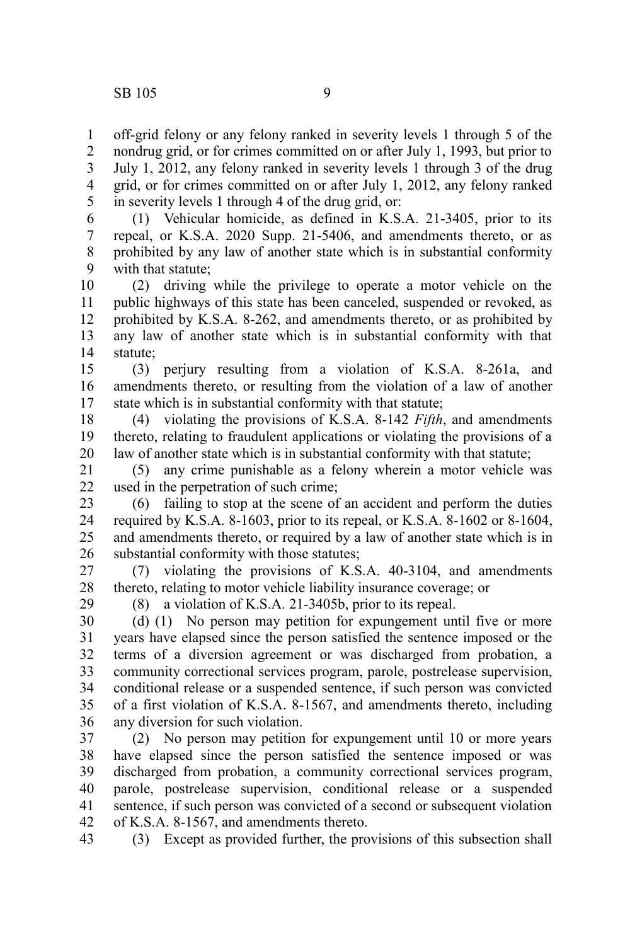off-grid felony or any felony ranked in severity levels 1 through 5 of the nondrug grid, or for crimes committed on or after July 1, 1993, but prior to July 1, 2012, any felony ranked in severity levels 1 through 3 of the drug grid, or for crimes committed on or after July 1, 2012, any felony ranked in severity levels 1 through 4 of the drug grid, or: 1 2 3 4 5

(1) Vehicular homicide, as defined in K.S.A. 21-3405, prior to its repeal, or K.S.A. 2020 Supp. 21-5406, and amendments thereto, or as prohibited by any law of another state which is in substantial conformity with that statute; 6 7 8 9

(2) driving while the privilege to operate a motor vehicle on the public highways of this state has been canceled, suspended or revoked, as prohibited by K.S.A. 8-262, and amendments thereto, or as prohibited by any law of another state which is in substantial conformity with that statute; 10 11 12 13 14

(3) perjury resulting from a violation of K.S.A. 8-261a, and amendments thereto, or resulting from the violation of a law of another state which is in substantial conformity with that statute; 15 16 17

(4) violating the provisions of K.S.A. 8-142 *Fifth*, and amendments thereto, relating to fraudulent applications or violating the provisions of a law of another state which is in substantial conformity with that statute; 18 19 20

(5) any crime punishable as a felony wherein a motor vehicle was used in the perpetration of such crime; 21 22

(6) failing to stop at the scene of an accident and perform the duties required by K.S.A. 8-1603, prior to its repeal, or K.S.A. 8-1602 or 8-1604, and amendments thereto, or required by a law of another state which is in substantial conformity with those statutes; 23 24 25 26

(7) violating the provisions of K.S.A. 40-3104, and amendments thereto, relating to motor vehicle liability insurance coverage; or 27 28

29

(8) a violation of K.S.A. 21-3405b, prior to its repeal.

(d) (1) No person may petition for expungement until five or more years have elapsed since the person satisfied the sentence imposed or the terms of a diversion agreement or was discharged from probation, a community correctional services program, parole, postrelease supervision, conditional release or a suspended sentence, if such person was convicted of a first violation of K.S.A. 8-1567, and amendments thereto, including any diversion for such violation. 30 31 32 33 34 35 36

(2) No person may petition for expungement until 10 or more years have elapsed since the person satisfied the sentence imposed or was discharged from probation, a community correctional services program, parole, postrelease supervision, conditional release or a suspended sentence, if such person was convicted of a second or subsequent violation of K.S.A. 8-1567, and amendments thereto. 37 38 39 40 41 42

43

(3) Except as provided further, the provisions of this subsection shall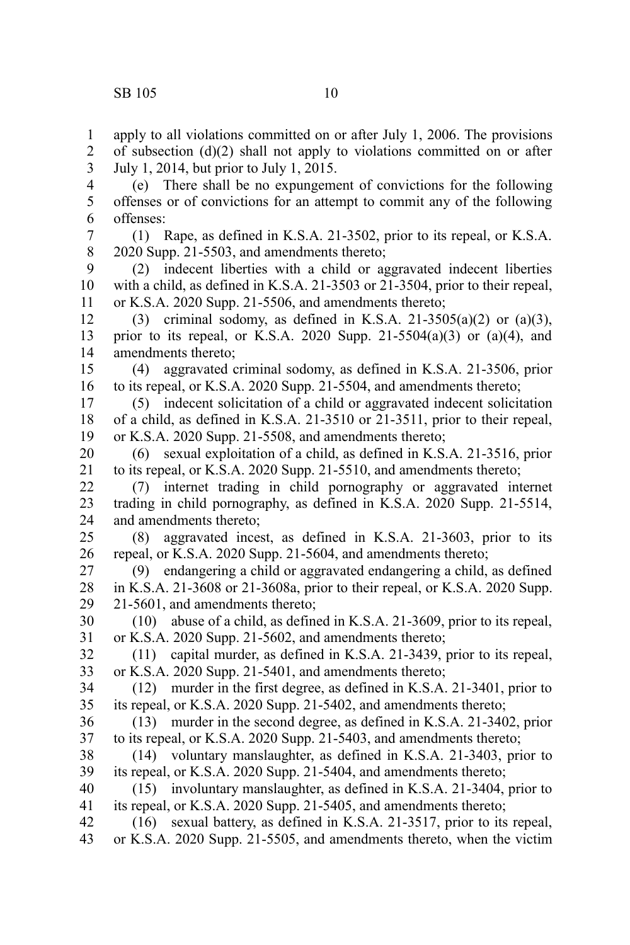apply to all violations committed on or after July 1, 2006. The provisions of subsection (d)(2) shall not apply to violations committed on or after July 1, 2014, but prior to July 1, 2015. (e) There shall be no expungement of convictions for the following offenses or of convictions for an attempt to commit any of the following offenses: (1) Rape, as defined in K.S.A. 21-3502, prior to its repeal, or K.S.A. 2020 Supp. 21-5503, and amendments thereto; (2) indecent liberties with a child or aggravated indecent liberties with a child, as defined in K.S.A. 21-3503 or 21-3504, prior to their repeal, or K.S.A. 2020 Supp. 21-5506, and amendments thereto; (3) criminal sodomy, as defined in K.S.A. 21-3505(a)(2) or (a)(3), prior to its repeal, or K.S.A. 2020 Supp. 21-5504(a)(3) or (a)(4), and amendments thereto; (4) aggravated criminal sodomy, as defined in K.S.A. 21-3506, prior to its repeal, or K.S.A. 2020 Supp. 21-5504, and amendments thereto; (5) indecent solicitation of a child or aggravated indecent solicitation of a child, as defined in K.S.A. 21-3510 or 21-3511, prior to their repeal, or K.S.A. 2020 Supp. 21-5508, and amendments thereto; (6) sexual exploitation of a child, as defined in K.S.A. 21-3516, prior to its repeal, or K.S.A. 2020 Supp. 21-5510, and amendments thereto; (7) internet trading in child pornography or aggravated internet trading in child pornography, as defined in K.S.A. 2020 Supp. 21-5514, and amendments thereto; (8) aggravated incest, as defined in K.S.A. 21-3603, prior to its repeal, or K.S.A. 2020 Supp. 21-5604, and amendments thereto; (9) endangering a child or aggravated endangering a child, as defined in K.S.A. 21-3608 or 21-3608a, prior to their repeal, or K.S.A. 2020 Supp. 21-5601, and amendments thereto; (10) abuse of a child, as defined in K.S.A. 21-3609, prior to its repeal, or K.S.A. 2020 Supp. 21-5602, and amendments thereto; (11) capital murder, as defined in K.S.A. 21-3439, prior to its repeal, or K.S.A. 2020 Supp. 21-5401, and amendments thereto; (12) murder in the first degree, as defined in K.S.A. 21-3401, prior to its repeal, or K.S.A. 2020 Supp. 21-5402, and amendments thereto; (13) murder in the second degree, as defined in K.S.A. 21-3402, prior to its repeal, or K.S.A. 2020 Supp. 21-5403, and amendments thereto; (14) voluntary manslaughter, as defined in K.S.A. 21-3403, prior to its repeal, or K.S.A. 2020 Supp. 21-5404, and amendments thereto; (15) involuntary manslaughter, as defined in K.S.A. 21-3404, prior to its repeal, or K.S.A. 2020 Supp. 21-5405, and amendments thereto; 1 2 3 4 5 6 7 8 9 10 11 12 13 14 15 16 17 18 19 20 21 22 23 24 25 26 27 28 29 30 31 32 33 34 35 36 37 38 39 40 41

(16) sexual battery, as defined in K.S.A. 21-3517, prior to its repeal, or K.S.A. 2020 Supp. 21-5505, and amendments thereto, when the victim 42 43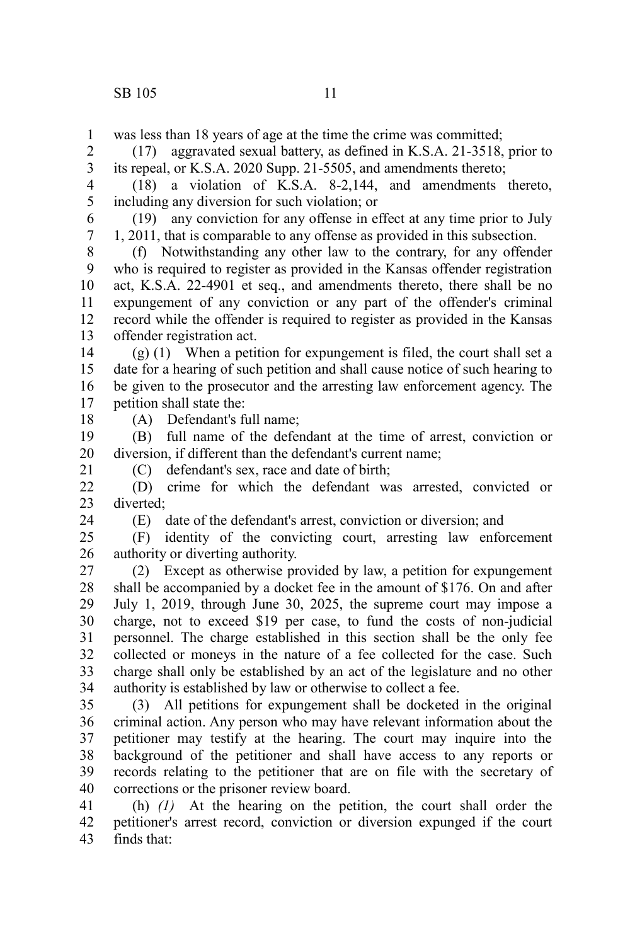was less than 18 years of age at the time the crime was committed; 1

(17) aggravated sexual battery, as defined in K.S.A. 21-3518, prior to its repeal, or K.S.A. 2020 Supp. 21-5505, and amendments thereto; 2 3

(18) a violation of K.S.A. 8-2,144, and amendments thereto, including any diversion for such violation; or 4 5

(19) any conviction for any offense in effect at any time prior to July 1, 2011, that is comparable to any offense as provided in this subsection. 6 7

(f) Notwithstanding any other law to the contrary, for any offender who is required to register as provided in the Kansas offender registration act, K.S.A. 22-4901 et seq., and amendments thereto, there shall be no expungement of any conviction or any part of the offender's criminal record while the offender is required to register as provided in the Kansas offender registration act. 8 9 10 11 12 13

(g) (1) When a petition for expungement is filed, the court shall set a date for a hearing of such petition and shall cause notice of such hearing to be given to the prosecutor and the arresting law enforcement agency. The petition shall state the: 14 15 16 17

18

21

24

(A) Defendant's full name;

(B) full name of the defendant at the time of arrest, conviction or diversion, if different than the defendant's current name; 19 20

(C) defendant's sex, race and date of birth;

(D) crime for which the defendant was arrested, convicted or diverted; 22 23

(E) date of the defendant's arrest, conviction or diversion; and

(F) identity of the convicting court, arresting law enforcement authority or diverting authority. 25 26

(2) Except as otherwise provided by law, a petition for expungement shall be accompanied by a docket fee in the amount of \$176. On and after July 1, 2019, through June 30, 2025, the supreme court may impose a charge, not to exceed \$19 per case, to fund the costs of non-judicial personnel. The charge established in this section shall be the only fee collected or moneys in the nature of a fee collected for the case. Such charge shall only be established by an act of the legislature and no other authority is established by law or otherwise to collect a fee. 27 28 29 30 31 32 33 34

(3) All petitions for expungement shall be docketed in the original criminal action. Any person who may have relevant information about the petitioner may testify at the hearing. The court may inquire into the background of the petitioner and shall have access to any reports or records relating to the petitioner that are on file with the secretary of corrections or the prisoner review board. 35 36 37 38 39 40

(h) *(1)* At the hearing on the petition, the court shall order the petitioner's arrest record, conviction or diversion expunged if the court finds that: 41 42 43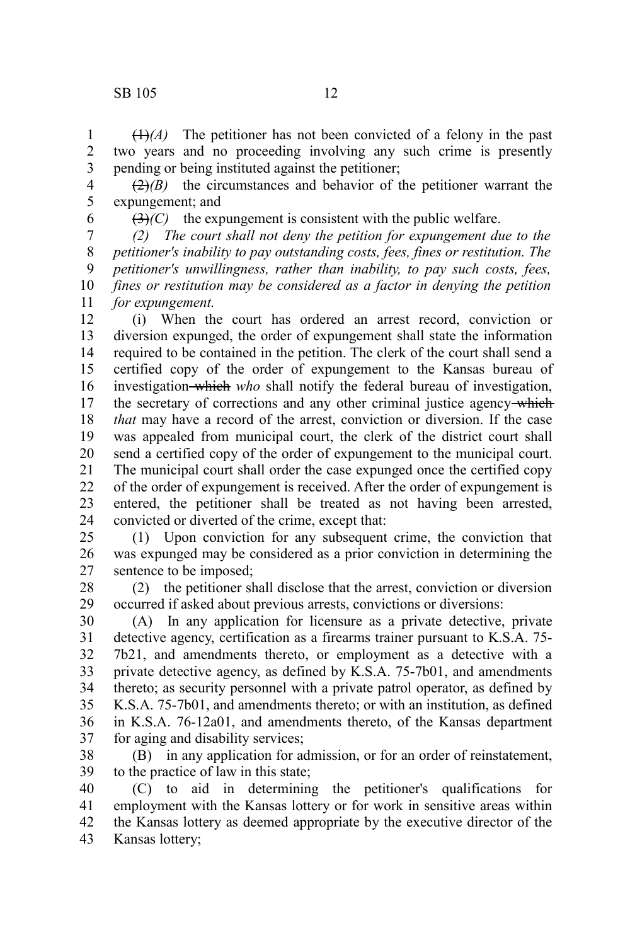$(1)$ <sup> $(A)$ </sup> The petitioner has not been convicted of a felony in the past two years and no proceeding involving any such crime is presently pending or being instituted against the petitioner; 1 2 3

 $(2)$ *(B)* the circumstances and behavior of the petitioner warrant the expungement; and 4 5

6

 $(3)$ *(C)* the expungement is consistent with the public welfare.

*(2) The court shall not deny the petition for expungement due to the petitioner's inability to pay outstanding costs, fees, fines or restitution. The petitioner's unwillingness, rather than inability, to pay such costs, fees, fines or restitution may be considered as a factor in denying the petition for expungement.* 7 8 9 10 11

(i) When the court has ordered an arrest record, conviction or diversion expunged, the order of expungement shall state the information required to be contained in the petition. The clerk of the court shall send a certified copy of the order of expungement to the Kansas bureau of investigation which *who* shall notify the federal bureau of investigation, the secretary of corrections and any other criminal justice agency-which *that* may have a record of the arrest, conviction or diversion. If the case was appealed from municipal court, the clerk of the district court shall send a certified copy of the order of expungement to the municipal court. The municipal court shall order the case expunged once the certified copy of the order of expungement is received. After the order of expungement is entered, the petitioner shall be treated as not having been arrested, convicted or diverted of the crime, except that: 12 13 14 15 16 17 18 19 20 21 22 23 24

(1) Upon conviction for any subsequent crime, the conviction that was expunged may be considered as a prior conviction in determining the sentence to be imposed; 25 26 27

(2) the petitioner shall disclose that the arrest, conviction or diversion occurred if asked about previous arrests, convictions or diversions: 28 29

(A) In any application for licensure as a private detective, private detective agency, certification as a firearms trainer pursuant to K.S.A. 75- 7b21, and amendments thereto, or employment as a detective with a private detective agency, as defined by K.S.A. 75-7b01, and amendments thereto; as security personnel with a private patrol operator, as defined by K.S.A. 75-7b01, and amendments thereto; or with an institution, as defined in K.S.A. 76-12a01, and amendments thereto, of the Kansas department for aging and disability services; 30 31 32 33 34 35 36 37

(B) in any application for admission, or for an order of reinstatement, to the practice of law in this state; 38 39

(C) to aid in determining the petitioner's qualifications for employment with the Kansas lottery or for work in sensitive areas within the Kansas lottery as deemed appropriate by the executive director of the Kansas lottery; 40 41 42 43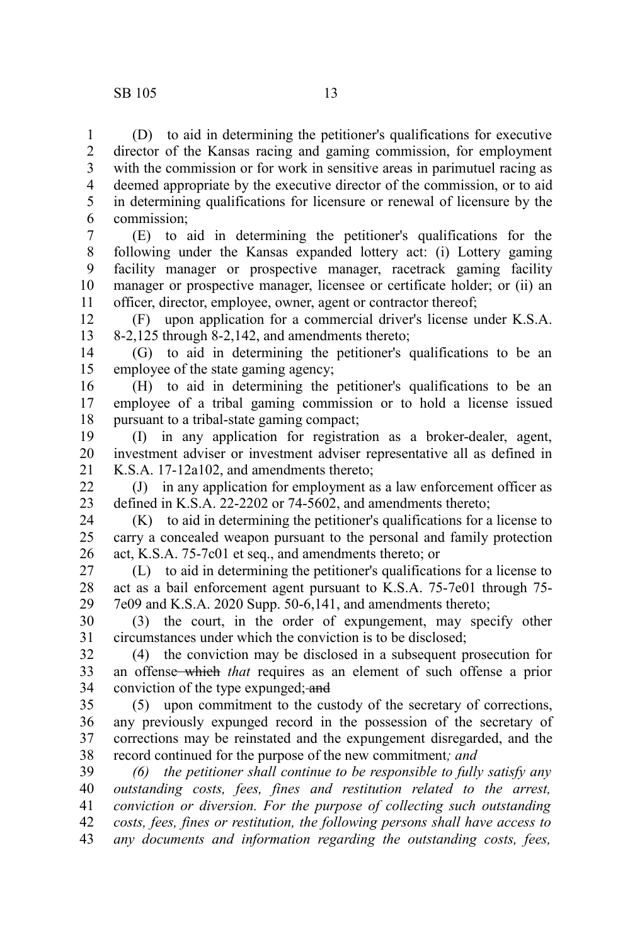1

(D) to aid in determining the petitioner's qualifications for executive

director of the Kansas racing and gaming commission, for employment with the commission or for work in sensitive areas in parimutuel racing as deemed appropriate by the executive director of the commission, or to aid in determining qualifications for licensure or renewal of licensure by the commission; 2 3 4 5 6

(E) to aid in determining the petitioner's qualifications for the following under the Kansas expanded lottery act: (i) Lottery gaming facility manager or prospective manager, racetrack gaming facility manager or prospective manager, licensee or certificate holder; or (ii) an officer, director, employee, owner, agent or contractor thereof; 7 8 9 10 11

(F) upon application for a commercial driver's license under K.S.A. 8-2,125 through 8-2,142, and amendments thereto; 12 13

(G) to aid in determining the petitioner's qualifications to be an employee of the state gaming agency; 14 15

(H) to aid in determining the petitioner's qualifications to be an employee of a tribal gaming commission or to hold a license issued pursuant to a tribal-state gaming compact; 16 17 18

(I) in any application for registration as a broker-dealer, agent, investment adviser or investment adviser representative all as defined in K.S.A. 17-12a102, and amendments thereto; 19 20 21

(J) in any application for employment as a law enforcement officer as defined in K.S.A. 22-2202 or 74-5602, and amendments thereto; 22 23

(K) to aid in determining the petitioner's qualifications for a license to carry a concealed weapon pursuant to the personal and family protection act, K.S.A. 75-7c01 et seq., and amendments thereto; or 24 25 26

(L) to aid in determining the petitioner's qualifications for a license to act as a bail enforcement agent pursuant to K.S.A. 75-7e01 through 75- 7e09 and K.S.A. 2020 Supp. 50-6,141, and amendments thereto; 27 28 29

(3) the court, in the order of expungement, may specify other circumstances under which the conviction is to be disclosed; 30 31

(4) the conviction may be disclosed in a subsequent prosecution for an offense which *that* requires as an element of such offense a prior conviction of the type expunged; and 32 33 34

(5) upon commitment to the custody of the secretary of corrections, any previously expunged record in the possession of the secretary of corrections may be reinstated and the expungement disregarded, and the record continued for the purpose of the new commitment*; and* 35 36 37 38

*(6) the petitioner shall continue to be responsible to fully satisfy any outstanding costs, fees, fines and restitution related to the arrest, conviction or diversion. For the purpose of collecting such outstanding costs, fees, fines or restitution, the following persons shall have access to any documents and information regarding the outstanding costs, fees,* 39 40 41 42 43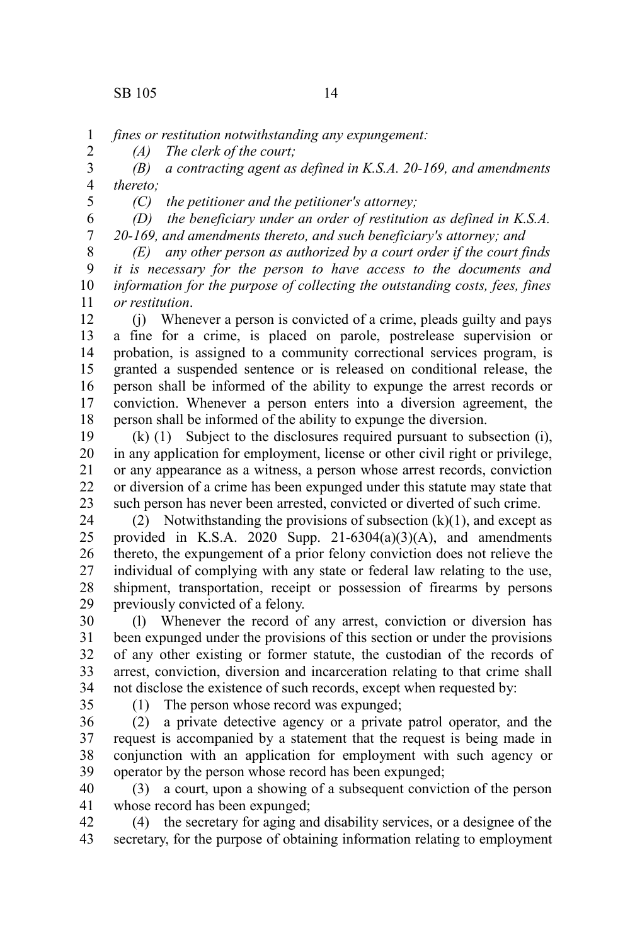2

*fines or restitution notwithstanding any expungement:* 1

*(A) The clerk of the court;*

*(B) a contracting agent as defined in K.S.A. 20-169, and amendments thereto;* 3 4 5

*(C) the petitioner and the petitioner's attorney;*

*(D) the beneficiary under an order of restitution as defined in K.S.A. 20-169, and amendments thereto, and such beneficiary's attorney; and* 6 7

*(E) any other person as authorized by a court order if the court finds it is necessary for the person to have access to the documents and information for the purpose of collecting the outstanding costs, fees, fines or restitution*. 8 9 10 11

(j) Whenever a person is convicted of a crime, pleads guilty and pays a fine for a crime, is placed on parole, postrelease supervision or probation, is assigned to a community correctional services program, is granted a suspended sentence or is released on conditional release, the person shall be informed of the ability to expunge the arrest records or conviction. Whenever a person enters into a diversion agreement, the person shall be informed of the ability to expunge the diversion. 12 13 14 15 16 17 18

(k) (1) Subject to the disclosures required pursuant to subsection (i), in any application for employment, license or other civil right or privilege, or any appearance as a witness, a person whose arrest records, conviction or diversion of a crime has been expunged under this statute may state that such person has never been arrested, convicted or diverted of such crime. 19 20 21 22 23

(2) Notwithstanding the provisions of subsection  $(k)(1)$ , and except as provided in K.S.A. 2020 Supp.  $21-6304(a)(3)(A)$ , and amendments thereto, the expungement of a prior felony conviction does not relieve the individual of complying with any state or federal law relating to the use, shipment, transportation, receipt or possession of firearms by persons previously convicted of a felony. 24 25 26 27 28 29

(l) Whenever the record of any arrest, conviction or diversion has been expunged under the provisions of this section or under the provisions of any other existing or former statute, the custodian of the records of arrest, conviction, diversion and incarceration relating to that crime shall not disclose the existence of such records, except when requested by: 30 31 32 33 34

35

(1) The person whose record was expunged;

(2) a private detective agency or a private patrol operator, and the request is accompanied by a statement that the request is being made in conjunction with an application for employment with such agency or operator by the person whose record has been expunged; 36 37 38 39

(3) a court, upon a showing of a subsequent conviction of the person whose record has been expunged; 40 41

(4) the secretary for aging and disability services, or a designee of the secretary, for the purpose of obtaining information relating to employment 42 43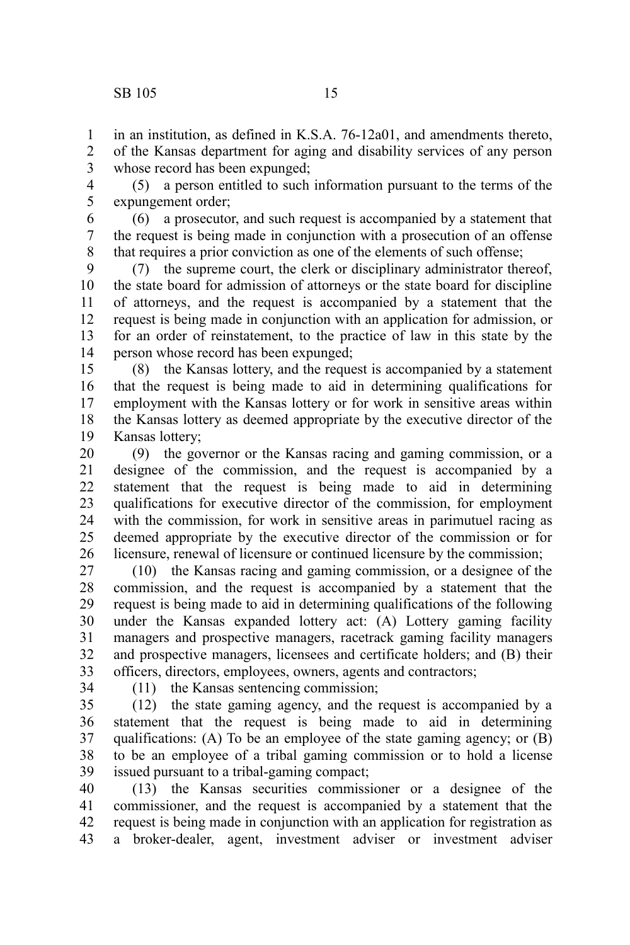in an institution, as defined in K.S.A. 76-12a01, and amendments thereto, of the Kansas department for aging and disability services of any person whose record has been expunged; 1 2 3

(5) a person entitled to such information pursuant to the terms of the expungement order; 4 5

(6) a prosecutor, and such request is accompanied by a statement that the request is being made in conjunction with a prosecution of an offense that requires a prior conviction as one of the elements of such offense; 6 7 8

(7) the supreme court, the clerk or disciplinary administrator thereof, the state board for admission of attorneys or the state board for discipline of attorneys, and the request is accompanied by a statement that the request is being made in conjunction with an application for admission, or for an order of reinstatement, to the practice of law in this state by the person whose record has been expunged; 9 10 11 12 13 14

(8) the Kansas lottery, and the request is accompanied by a statement that the request is being made to aid in determining qualifications for employment with the Kansas lottery or for work in sensitive areas within the Kansas lottery as deemed appropriate by the executive director of the Kansas lottery; 15 16 17 18 19

(9) the governor or the Kansas racing and gaming commission, or a designee of the commission, and the request is accompanied by a statement that the request is being made to aid in determining qualifications for executive director of the commission, for employment with the commission, for work in sensitive areas in parimutuel racing as deemed appropriate by the executive director of the commission or for licensure, renewal of licensure or continued licensure by the commission; 20 21 22 23 24 25 26

(10) the Kansas racing and gaming commission, or a designee of the commission, and the request is accompanied by a statement that the request is being made to aid in determining qualifications of the following under the Kansas expanded lottery act: (A) Lottery gaming facility managers and prospective managers, racetrack gaming facility managers and prospective managers, licensees and certificate holders; and (B) their officers, directors, employees, owners, agents and contractors; 27 28 29 30 31 32 33

34

(11) the Kansas sentencing commission;

(12) the state gaming agency, and the request is accompanied by a statement that the request is being made to aid in determining qualifications: (A) To be an employee of the state gaming agency; or (B) to be an employee of a tribal gaming commission or to hold a license issued pursuant to a tribal-gaming compact; 35 36 37 38 39

(13) the Kansas securities commissioner or a designee of the commissioner, and the request is accompanied by a statement that the request is being made in conjunction with an application for registration as a broker-dealer, agent, investment adviser or investment adviser 40 41 42 43